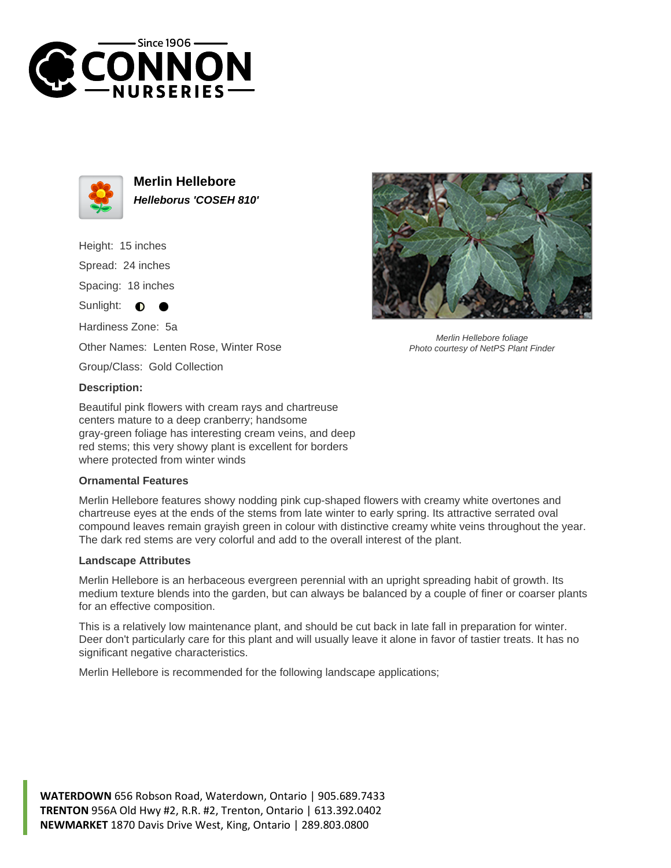



**Merlin Hellebore Helleborus 'COSEH 810'**

Height: 15 inches Spread: 24 inches Spacing: 18 inches Sunlight: **O** Hardiness Zone: 5a Other Names: Lenten Rose, Winter Rose

Group/Class: Gold Collection

## **Description:**

Beautiful pink flowers with cream rays and chartreuse centers mature to a deep cranberry; handsome gray-green foliage has interesting cream veins, and deep red stems; this very showy plant is excellent for borders where protected from winter winds

## **Ornamental Features**

Merlin Hellebore features showy nodding pink cup-shaped flowers with creamy white overtones and chartreuse eyes at the ends of the stems from late winter to early spring. Its attractive serrated oval compound leaves remain grayish green in colour with distinctive creamy white veins throughout the year. The dark red stems are very colorful and add to the overall interest of the plant.

## **Landscape Attributes**

Merlin Hellebore is an herbaceous evergreen perennial with an upright spreading habit of growth. Its medium texture blends into the garden, but can always be balanced by a couple of finer or coarser plants for an effective composition.

This is a relatively low maintenance plant, and should be cut back in late fall in preparation for winter. Deer don't particularly care for this plant and will usually leave it alone in favor of tastier treats. It has no significant negative characteristics.

Merlin Hellebore is recommended for the following landscape applications;





Photo courtesy of NetPS Plant Finder

**WATERDOWN** 656 Robson Road, Waterdown, Ontario | 905.689.7433 **TRENTON** 956A Old Hwy #2, R.R. #2, Trenton, Ontario | 613.392.0402 **NEWMARKET** 1870 Davis Drive West, King, Ontario | 289.803.0800